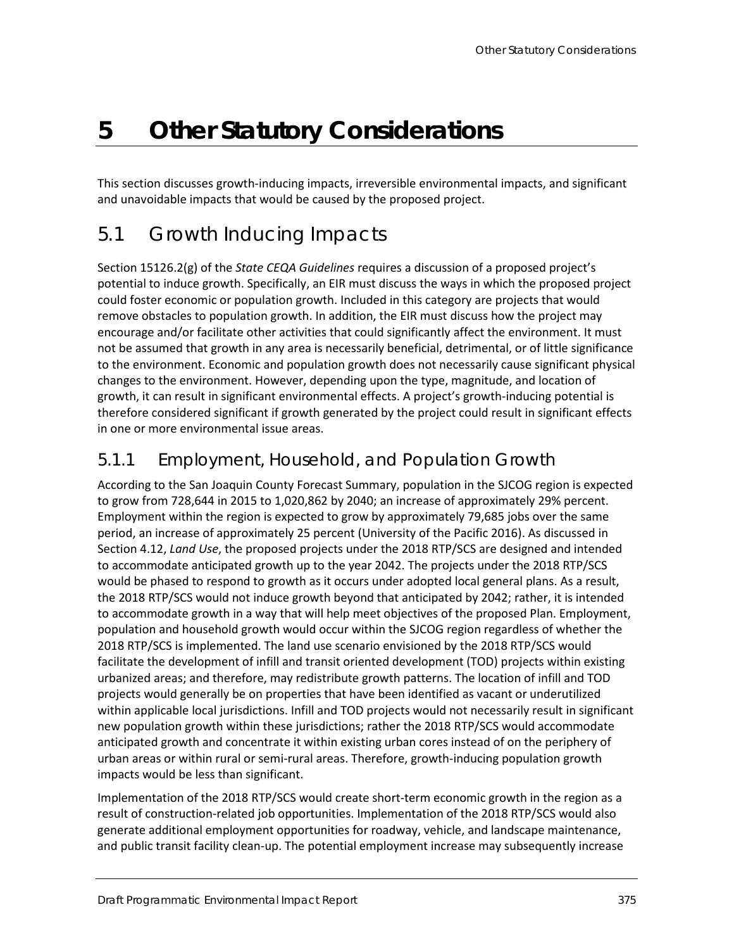# **5 Other Statutory Considerations**

This section discusses growth-inducing impacts, irreversible environmental impacts, and significant and unavoidable impacts that would be caused by the proposed project.

## 5.1 Growth Inducing Impacts

Section 15126.2(g) of the *State CEQA Guidelines* requires a discussion of a proposed project's potential to induce growth. Specifically, an EIR must discuss the ways in which the proposed project could foster economic or population growth. Included in this category are projects that would remove obstacles to population growth. In addition, the EIR must discuss how the project may encourage and/or facilitate other activities that could significantly affect the environment. It must not be assumed that growth in any area is necessarily beneficial, detrimental, or of little significance to the environment. Economic and population growth does not necessarily cause significant physical changes to the environment. However, depending upon the type, magnitude, and location of growth, it can result in significant environmental effects. A project's growth-inducing potential is therefore considered significant if growth generated by the project could result in significant effects in one or more environmental issue areas.

#### 5.1.1 Employment, Household, and Population Growth

According to the San Joaquin County Forecast Summary, population in the SJCOG region is expected to grow from 728,644 in 2015 to 1,020,862 by 2040; an increase of approximately 29% percent. Employment within the region is expected to grow by approximately 79,685 jobs over the same period, an increase of approximately 25 percent (University of the Pacific 2016). As discussed in Section 4.12, *Land Use*, the proposed projects under the 2018 RTP/SCS are designed and intended to accommodate anticipated growth up to the year 2042. The projects under the 2018 RTP/SCS would be phased to respond to growth as it occurs under adopted local general plans. As a result, the 2018 RTP/SCS would not induce growth beyond that anticipated by 2042; rather, it is intended to accommodate growth in a way that will help meet objectives of the proposed Plan. Employment, population and household growth would occur within the SJCOG region regardless of whether the 2018 RTP/SCS is implemented. The land use scenario envisioned by the 2018 RTP/SCS would facilitate the development of infill and transit oriented development (TOD) projects within existing urbanized areas; and therefore, may redistribute growth patterns. The location of infill and TOD projects would generally be on properties that have been identified as vacant or underutilized within applicable local jurisdictions. Infill and TOD projects would not necessarily result in significant new population growth within these jurisdictions; rather the 2018 RTP/SCS would accommodate anticipated growth and concentrate it within existing urban cores instead of on the periphery of urban areas or within rural or semi-rural areas. Therefore, growth-inducing population growth impacts would be less than significant.

Implementation of the 2018 RTP/SCS would create short-term economic growth in the region as a result of construction-related job opportunities. Implementation of the 2018 RTP/SCS would also generate additional employment opportunities for roadway, vehicle, and landscape maintenance, and public transit facility clean-up. The potential employment increase may subsequently increase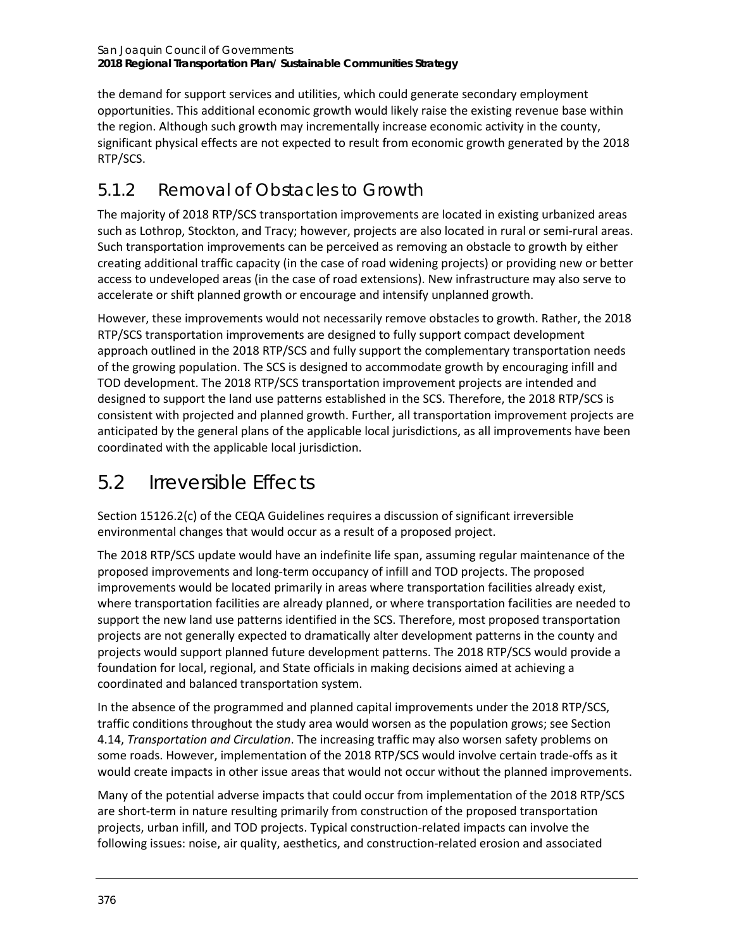the demand for support services and utilities, which could generate secondary employment opportunities. This additional economic growth would likely raise the existing revenue base within the region. Although such growth may incrementally increase economic activity in the county, significant physical effects are not expected to result from economic growth generated by the 2018 RTP/SCS.

### 5.1.2 Removal of Obstacles to Growth

The majority of 2018 RTP/SCS transportation improvements are located in existing urbanized areas such as Lothrop, Stockton, and Tracy; however, projects are also located in rural or semi-rural areas. Such transportation improvements can be perceived as removing an obstacle to growth by either creating additional traffic capacity (in the case of road widening projects) or providing new or better access to undeveloped areas (in the case of road extensions). New infrastructure may also serve to accelerate or shift planned growth or encourage and intensify unplanned growth.

However, these improvements would not necessarily remove obstacles to growth. Rather, the 2018 RTP/SCS transportation improvements are designed to fully support compact development approach outlined in the 2018 RTP/SCS and fully support the complementary transportation needs of the growing population. The SCS is designed to accommodate growth by encouraging infill and TOD development. The 2018 RTP/SCS transportation improvement projects are intended and designed to support the land use patterns established in the SCS. Therefore, the 2018 RTP/SCS is consistent with projected and planned growth. Further, all transportation improvement projects are anticipated by the general plans of the applicable local jurisdictions, as all improvements have been coordinated with the applicable local jurisdiction.

## 5.2 Irreversible Effects

Section 15126.2(c) of the CEQA Guidelines requires a discussion of significant irreversible environmental changes that would occur as a result of a proposed project.

The 2018 RTP/SCS update would have an indefinite life span, assuming regular maintenance of the proposed improvements and long-term occupancy of infill and TOD projects. The proposed improvements would be located primarily in areas where transportation facilities already exist, where transportation facilities are already planned, or where transportation facilities are needed to support the new land use patterns identified in the SCS. Therefore, most proposed transportation projects are not generally expected to dramatically alter development patterns in the county and projects would support planned future development patterns. The 2018 RTP/SCS would provide a foundation for local, regional, and State officials in making decisions aimed at achieving a coordinated and balanced transportation system.

In the absence of the programmed and planned capital improvements under the 2018 RTP/SCS, traffic conditions throughout the study area would worsen as the population grows; see Section 4.14, *Transportation and Circulation*. The increasing traffic may also worsen safety problems on some roads. However, implementation of the 2018 RTP/SCS would involve certain trade-offs as it would create impacts in other issue areas that would not occur without the planned improvements.

Many of the potential adverse impacts that could occur from implementation of the 2018 RTP/SCS are short-term in nature resulting primarily from construction of the proposed transportation projects, urban infill, and TOD projects. Typical construction-related impacts can involve the following issues: noise, air quality, aesthetics, and construction-related erosion and associated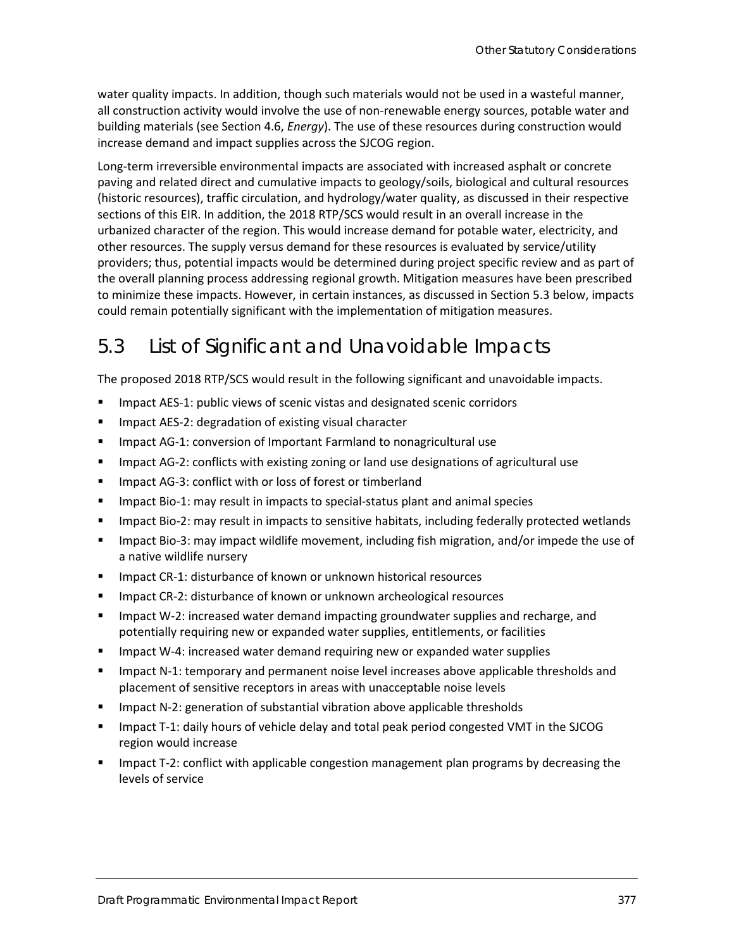water quality impacts. In addition, though such materials would not be used in a wasteful manner, all construction activity would involve the use of non-renewable energy sources, potable water and building materials (see Section 4.6, *Energy*). The use of these resources during construction would increase demand and impact supplies across the SJCOG region.

Long-term irreversible environmental impacts are associated with increased asphalt or concrete paving and related direct and cumulative impacts to geology/soils, biological and cultural resources (historic resources), traffic circulation, and hydrology/water quality, as discussed in their respective sections of this EIR. In addition, the 2018 RTP/SCS would result in an overall increase in the urbanized character of the region. This would increase demand for potable water, electricity, and other resources. The supply versus demand for these resources is evaluated by service/utility providers; thus, potential impacts would be determined during project specific review and as part of the overall planning process addressing regional growth. Mitigation measures have been prescribed to minimize these impacts. However, in certain instances, as discussed in Section 5.3 below, impacts could remain potentially significant with the implementation of mitigation measures.

## 5.3 List of Significant and Unavoidable Impacts

The proposed 2018 RTP/SCS would result in the following significant and unavoidable impacts.

- **IMPACTER 1: 2008** 1: public views of scenic vistas and designated scenic corridors
- **IMPACTO ACTS-2: degradation of existing visual character**
- **IMPACT AG-1: conversion of Important Farmland to nonagricultural use**
- **IMPACT AG-2: conflicts with existing zoning or land use designations of agricultural use**
- **IF Impact AG-3: conflict with or loss of forest or timberland**
- **IMPACT BIO-1: MAY result in impacts to special-status plant and animal species**
- **IMPACT BIO-2: may result in impacts to sensitive habitats, including federally protected wetlands**
- **IMPACT BIO-3: may impact wildlife movement, including fish migration, and/or impede the use of** a native wildlife nursery
- Impact CR-1: disturbance of known or unknown historical resources
- Impact CR-2: disturbance of known or unknown archeological resources
- Impact W-2: increased water demand impacting groundwater supplies and recharge, and potentially requiring new or expanded water supplies, entitlements, or facilities
- Impact W-4: increased water demand requiring new or expanded water supplies
- **IMPACT N-1: temporary and permanent noise level increases above applicable thresholds and** placement of sensitive receptors in areas with unacceptable noise levels
- Impact N-2: generation of substantial vibration above applicable thresholds
- **IMPACT T-1: daily hours of vehicle delay and total peak period congested VMT in the SJCOG** region would increase
- Impact T-2: conflict with applicable congestion management plan programs by decreasing the levels of service